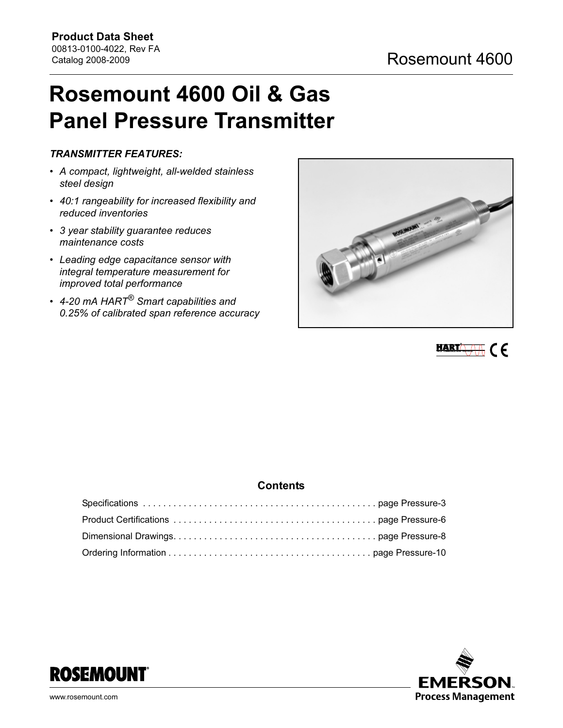# Rosemount 4600 Oil & Gas Panel Pressure Transmitter

# TRANSMITTER FEATURES:

- A compact, lightweight, all-welded stainless steel design
- 40:1 rangeability for increased flexibility and reduced inventories
- 3 year stability guarantee reduces maintenance costs
- Leading edge capacitance sensor with integral temperature measurement for improved total performance
- 4-20 mA HART<sup>®</sup> Smart capabilities and 0.25% of calibrated span reference accuracy





# **Contents**



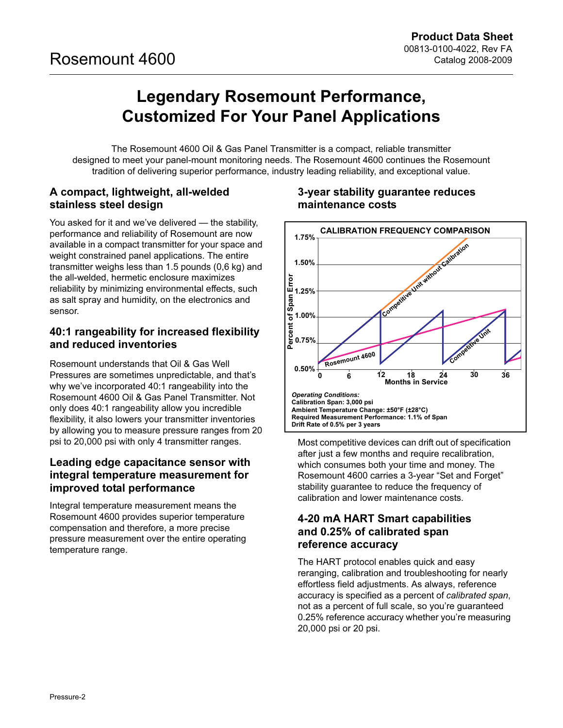# Legendary Rosemount Performance, Customized For Your Panel Applications

The Rosemount 4600 Oil & Gas Panel Transmitter is a compact, reliable transmitter designed to meet your panel-mount monitoring needs. The Rosemount 4600 continues the Rosemount tradition of delivering superior performance, industry leading reliability, and exceptional value.

# A compact, lightweight, all-welded stainless steel design

You asked for it and we've delivered — the stability, performance and reliability of Rosemount are now available in a compact transmitter for your space and weight constrained panel applications. The entire transmitter weighs less than 1.5 pounds (0,6 kg) and the all-welded, hermetic enclosure maximizes reliability by minimizing environmental effects, such as salt spray and humidity, on the electronics and sensor.

# 40:1 rangeability for increased flexibility and reduced inventories

Rosemount understands that Oil & Gas Well Pressures are sometimes unpredictable, and that's why we've incorporated 40:1 rangeability into the Rosemount 4600 Oil & Gas Panel Transmitter. Not only does 40:1 rangeability allow you incredible flexibility, it also lowers your transmitter inventories by allowing you to measure pressure ranges from 20 psi to 20,000 psi with only 4 transmitter ranges.

# Leading edge capacitance sensor with integral temperature measurement for improved total performance

Integral temperature measurement means the Rosemount 4600 provides superior temperature compensation and therefore, a more precise pressure measurement over the entire operating temperature range.

# 3-year stability guarantee reduces maintenance costs



Most competitive devices can drift out of specification after just a few months and require recalibration, which consumes both your time and money. The Rosemount 4600 carries a 3-year "Set and Forget" stability guarantee to reduce the frequency of calibration and lower maintenance costs.

# 4-20 mA HART Smart capabilities and 0.25% of calibrated span reference accuracy

The HART protocol enables quick and easy reranging, calibration and troubleshooting for nearly effortless field adjustments. As always, reference accuracy is specified as a percent of calibrated span, not as a percent of full scale, so you're guaranteed 0.25% reference accuracy whether you're measuring 20,000 psi or 20 psi.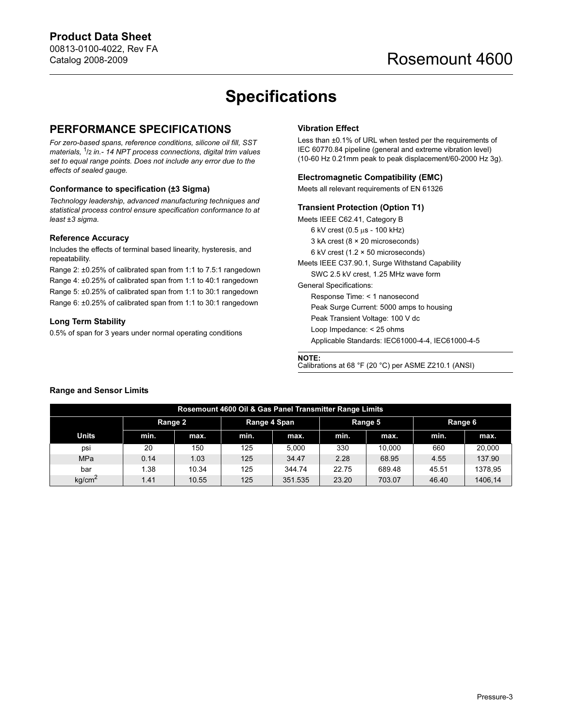# Specifications

# <span id="page-2-0"></span>PERFORMANCE SPECIFICATIONS

For zero-based spans, reference conditions, silicone oil fill, SST materials, <sup>1</sup>/2 in.- 14 NPT process connections, digital trim values set to equal range points. Does not include any error due to the effects of sealed gauge.

## Conformance to specification (±3 Sigma)

Technology leadership, advanced manufacturing techniques and statistical process control ensure specification conformance to at least ±3 sigma.

## Reference Accuracy

Includes the effects of terminal based linearity, hysteresis, and repeatability.

Range 2: ±0.25% of calibrated span from 1:1 to 7.5:1 rangedown Range 4: ±0.25% of calibrated span from 1:1 to 40:1 rangedown Range 5: ±0.25% of calibrated span from 1:1 to 30:1 rangedown Range 6: ±0.25% of calibrated span from 1:1 to 30:1 rangedown

## Long Term Stability

0.5% of span for 3 years under normal operating conditions

## Vibration Effect

Less than ±0.1% of URL when tested per the requirements of IEC 60770.84 pipeline (general and extreme vibration level) (10-60 Hz 0.21mm peak to peak displacement/60-2000 Hz 3g).

## Electromagnetic Compatibility (EMC)

Meets all relevant requirements of EN 61326

## Transient Protection (Option T1)

Meets IEEE C62.41, Category B 6 kV crest (0.5 µs - 100 kHz) 3 kA crest (8 × 20 microseconds) 6 kV crest (1.2 × 50 microseconds) Meets IEEE C37.90.1, Surge Withstand Capability SWC 2.5 kV crest, 1.25 MHz wave form General Specifications: Response Time: < 1 nanosecond Peak Surge Current: 5000 amps to housing Peak Transient Voltage: 100 V dc Loop Impedance: < 25 ohms Applicable Standards: IEC61000-4-4, IEC61000-4-5

### NOTE:

Calibrations at 68 °F (20 °C) per ASME Z210.1 (ANSI)

## Range and Sensor Limits

| Rosemount 4600 Oil & Gas Panel Transmitter Range Limits |         |       |              |         |         |        |         |         |
|---------------------------------------------------------|---------|-------|--------------|---------|---------|--------|---------|---------|
|                                                         | Range 2 |       | Range 4 Span |         | Range 5 |        | Range 6 |         |
| Units                                                   | min.    | max.  | min.         | max.    | min.    | max.   | min.    | max.    |
| psi                                                     | 20      | 150   | 125          | 5.000   | 330     | 10.000 | 660     | 20.000  |
| <b>MPa</b>                                              | 0.14    | 1.03  | 125          | 34.47   | 2.28    | 68.95  | 4.55    | 137.90  |
| bar                                                     | 1.38    | 10.34 | 125          | 344.74  | 22.75   | 689.48 | 45.51   | 1378.95 |
| kg/cm <sup>2</sup>                                      | 1.41    | 10.55 | 125          | 351.535 | 23.20   | 703.07 | 46.40   | 1406.14 |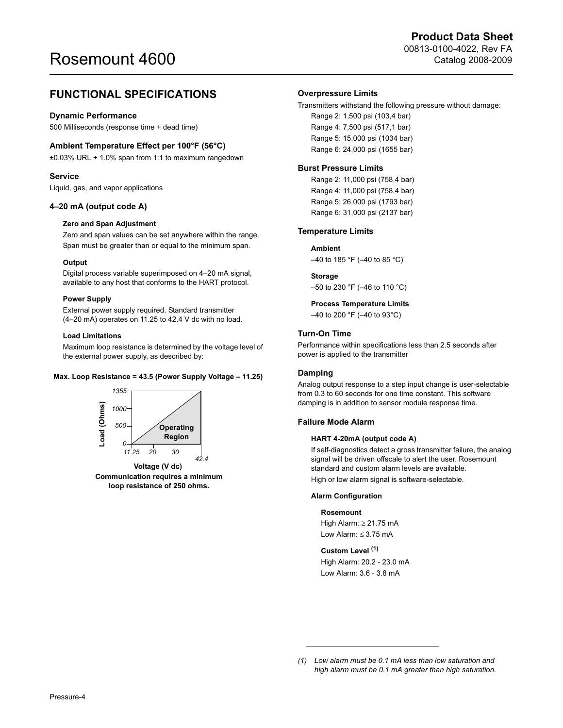# FUNCTIONAL SPECIFICATIONS

#### Dynamic Performance

500 Milliseconds (response time + dead time)

## Ambient Temperature Effect per 100°F (56°C)

±0.03% URL + 1.0% span from 1:1 to maximum rangedown

#### Service

Liquid, gas, and vapor applications

#### 4–20 mA (output code A)

#### Zero and Span Adjustment

Zero and span values can be set anywhere within the range. Span must be greater than or equal to the minimum span.

#### **Output**

Digital process variable superimposed on 4–20 mA signal, available to any host that conforms to the HART protocol.

#### Power Supply

External power supply required. Standard transmitter (4–20 mA) operates on 11.25 to 42.4 V dc with no load.

#### Load Limitations

Maximum loop resistance is determined by the voltage level of the external power supply, as described by:

#### Max. Loop Resistance = 43.5 (Power Supply Voltage – 11.25)



Communication requires a minimum loop resistance of 250 ohms.

#### Overpressure Limits

#### Transmitters withstand the following pressure without damage:

Range 2: 1,500 psi (103,4 bar) Range 4: 7,500 psi (517,1 bar) Range 5: 15,000 psi (1034 bar) Range 6: 24,000 psi (1655 bar)

#### Burst Pressure Limits

Range 2: 11,000 psi (758,4 bar) Range 4: 11,000 psi (758,4 bar) Range 5: 26,000 psi (1793 bar) Range 6: 31,000 psi (2137 bar)

#### Temperature Limits

#### Ambient

 $-40$  to 185 °F ( $-40$  to 85 °C)

#### Storage

–50 to 230 °F (–46 to 110 °C)

## Process Temperature Limits

–40 to 200 °F (–40 to 93°C)

# Turn-On Time

Performance within specifications less than 2.5 seconds after power is applied to the transmitter

#### Damping

Analog output response to a step input change is user-selectable from 0.3 to 60 seconds for one time constant. This software damping is in addition to sensor module response time.

## Failure Mode Alarm

#### HART 4-20mA (output code A)

If self-diagnostics detect a gross transmitter failure, the analog signal will be driven offscale to alert the user. Rosemount standard and custom alarm levels are available. High or low alarm signal is software-selectable.

#### Alarm Configuration

#### Rosemount

High Alarm: ≥ 21.75 mA Low Alarm:  $\leq 3.75$  mA

#### Custom Level (1)

High Alarm: 20.2 - 23.0 mA Low Alarm: 3.6 - 3.8 mA

<sup>(1)</sup> Low alarm must be 0.1 mA less than low saturation and high alarm must be 0.1 mA greater than high saturation.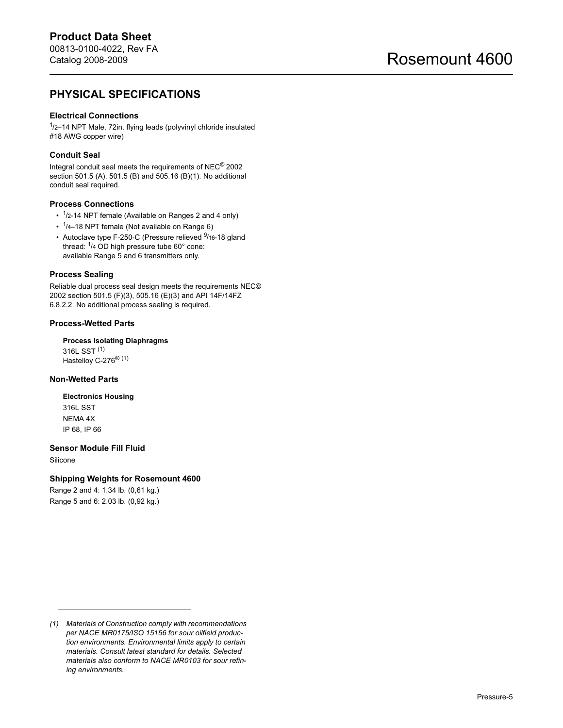# PHYSICAL SPECIFICATIONS

## Electrical Connections

<sup>1</sup>/2-14 NPT Male, 72in. flying leads (polyvinyl chloride insulated #18 AWG copper wire)

## Conduit Seal

Integral conduit seal meets the requirements of NEC© 2002 section 501.5 (A), 501.5 (B) and 505.16 (B)(1). No additional conduit seal required.

#### Process Connections

- $\cdot$  <sup>1</sup>/2-14 NPT female (Available on Ranges 2 and 4 only)
- $\cdot$  <sup>1</sup>/4–18 NPT female (Not available on Range 6)
- Autoclave type F-250-C (Pressure relieved <sup>9</sup>/16-18 gland thread:  $1/4$  OD high pressure tube 60° cone: available Range 5 and 6 transmitters only.

#### Process Sealing

Reliable dual process seal design meets the requirements NEC© 2002 section 501.5 (F)(3), 505.16 (E)(3) and API 14F/14FZ 6.8.2.2. No additional process sealing is required.

### Process-Wetted Parts

Process Isolating Diaphragms 316L SST (1) Hastelloy C-276® [\(1\)](#page-4-0)

## Non-Wetted Parts

Electronics Housing 316L SST NEMA 4X IP 68, IP 66

# Sensor Module Fill Fluid

Silicone

Shipping Weights for Rosemount 4600

Range 2 and 4: 1.34 lb. (0,61 kg.) Range 5 and 6: 2.03 lb. (0,92 kg.)

<span id="page-4-0"></span><sup>(1)</sup> Materials of Construction comply with recommendations per NACE MR0175/ISO 15156 for sour oilfield production environments. Environmental limits apply to certain materials. Consult latest standard for details. Selected materials also conform to NACE MR0103 for sour refining environments.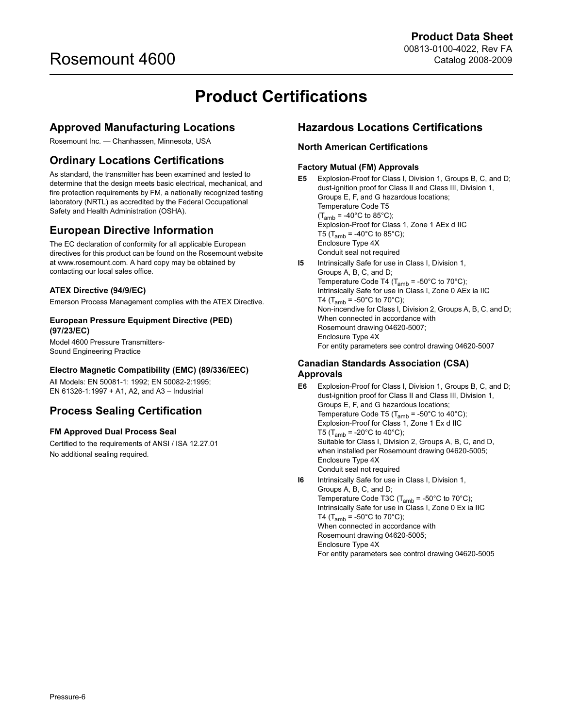# Product Certifications

# <span id="page-5-0"></span>Approved Manufacturing Locations

Rosemount Inc. — Chanhassen, Minnesota, USA

# Ordinary Locations Certifications

As standard, the transmitter has been examined and tested to determine that the design meets basic electrical, mechanical, and fire protection requirements by FM, a nationally recognized testing laboratory (NRTL) as accredited by the Federal Occupational Safety and Health Administration (OSHA).

# European Directive Information

The EC declaration of conformity for all applicable European directives for this product can be found on the Rosemount website at www.rosemount.com. A hard copy may be obtained by contacting our local sales office.

# ATEX Directive (94/9/EC)

Emerson Process Management complies with the ATEX Directive.

## European Pressure Equipment Directive (PED) (97/23/EC)

Model 4600 Pressure Transmitters-Sound Engineering Practice

# Electro Magnetic Compatibility (EMC) (89/336/EEC)

All Models: EN 50081-1: 1992; EN 50082-2:1995; EN 61326-1:1997 + A1, A2, and A3 – Industrial

# Process Sealing Certification

## FM Approved Dual Process Seal

Certified to the requirements of ANSI / ISA 12.27.01 No additional sealing required.

# <span id="page-5-1"></span>Hazardous Locations Certifications

# North American Certifications

## Factory Mutual (FM) Approvals

E5 Explosion-Proof for Class I, Division 1, Groups B, C, and D; dust-ignition proof for Class II and Class III, Division 1, Groups E, F, and G hazardous locations; Temperature Code T5  $(T<sub>amb</sub> = -40°C$  to 85°C); Explosion-Proof for Class 1, Zone 1 AEx d IIC T5 ( $T_{amb}$  = -40°C to 85°C); Enclosure Type 4X Conduit seal not required

I5 Intrinsically Safe for use in Class I, Division 1, Groups A, B, C, and D; Temperature Code T4 ( $T_{amb}$  = -50°C to 70°C); Intrinsically Safe for use in Class I, Zone 0 AEx ia IIC T4 (T<sub>amb</sub> = -50°C to 70°C); Non-incendive for Class I, Division 2, Groups A, B, C, and D; When connected in accordance with Rosemount drawing 04620-5007; Enclosure Type 4X For entity parameters see control drawing 04620-5007

# Canadian Standards Association (CSA) Approvals

- E6 Explosion-Proof for Class I, Division 1, Groups B, C, and D; dust-ignition proof for Class II and Class III, Division 1, Groups E, F, and G hazardous locations; Temperature Code T5 ( $T_{amb}$  = -50°C to 40°C); Explosion-Proof for Class 1, Zone 1 Ex d IIC T5 (T<sub>amb</sub> = -20°C to 40°C); Suitable for Class I, Division 2, Groups A, B, C, and D, when installed per Rosemount drawing 04620-5005; Enclosure Type 4X Conduit seal not required
- I6 Intrinsically Safe for use in Class I, Division 1, Groups A, B, C, and D; Temperature Code T3C ( $T_{amb}$  = -50°C to 70°C); Intrinsically Safe for use in Class I, Zone 0 Ex ia IIC T4 ( $T_{amb}$  = -50°C to 70°C); When connected in accordance with Rosemount drawing 04620-5005; Enclosure Type 4X For entity parameters see control drawing 04620-5005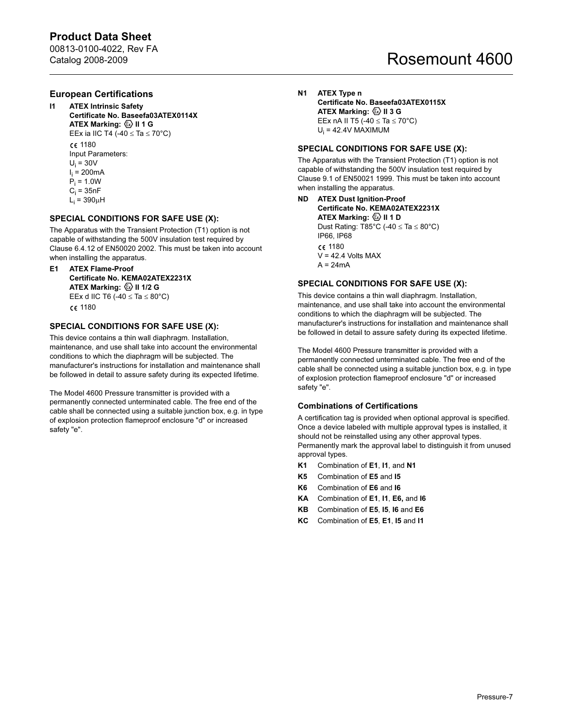# Product Data Sheet

00813-0100-4022, Rev FA Catalog 2008-2009

# Rosemount 4600

# European Certifications

- **ATEX Intrinsic Safety** Certificate No. Baseefa03ATEX0114X ATEX Marking:  $\langle\overline{\mathbb{Q}}\rangle$  II 1 G EEx ia IIC T4 (-40  $\leq$  Ta  $\leq$  70°C) C€ 1180 Input Parameters:  $U_i = 30V$ l<sub>i</sub> = 200mA
	- P<sub>i</sub> = 1.0W  $\mathrm{C_{i} = 35}$ n $\mathrm{F}$
	- L<sub>i</sub> = 390µH

## SPECIAL CONDITIONS FOR SAFE USE (X):

The Apparatus with the Transient Protection (T1) option is not capable of withstanding the 500V insulation test required by Clause 6.4.12 of EN50020 2002. This must be taken into account when installing the apparatus.

E1 ATEX Flame-Proof Certificate No. KEMA02ATEX2231X ATEX Marking:  $\textcircled{\tiny{\textcirc}}$  II 1/2 G EEx d IIC T6 (-40  $\le$  Ta  $\le$  80°C) C€ 1180

## SPECIAL CONDITIONS FOR SAFE USE (X):

This device contains a thin wall diaphragm. Installation, maintenance, and use shall take into account the environmental conditions to which the diaphragm will be subjected. The manufacturer's instructions for installation and maintenance shall be followed in detail to assure safety during its expected lifetime.

The Model 4600 Pressure transmitter is provided with a permanently connected unterminated cable. The free end of the cable shall be connected using a suitable junction box, e.g. in type of explosion protection flameproof enclosure "d" or increased safety "e".

### N1 ATEX Type n Certificate No. Baseefa03ATEX0115X ATEX Marking:  $\textcircled{\tiny{\textcirc}}$  II 3 G

EEx nA II T5 (-40  $\le$  Ta  $\le$  70°C) U<sub>i</sub> = 42.4V MAXIMUM

## SPECIAL CONDITIONS FOR SAFE USE (X):

The Apparatus with the Transient Protection (T1) option is not capable of withstanding the 500V insulation test required by Clause 9.1 of EN50021 1999. This must be taken into account when installing the apparatus.

ND ATEX Dust Ignition-Proof Certificate No. KEMA02ATEX2231X ATEX Marking:  $\textcircled{\tiny{\textcirc}}$  II 1 D Dust Rating: T85°C (-40  $\leq$  Ta  $\leq$  80°C)

IP66, IP68 C€ 1180  $V = 42.4$  Volts MAX  $A = 24mA$ 

## SPECIAL CONDITIONS FOR SAFE USE (X):

This device contains a thin wall diaphragm. Installation, maintenance, and use shall take into account the environmental conditions to which the diaphragm will be subjected. The manufacturer's instructions for installation and maintenance shall be followed in detail to assure safety during its expected lifetime.

The Model 4600 Pressure transmitter is provided with a permanently connected unterminated cable. The free end of the cable shall be connected using a suitable junction box, e.g. in type of explosion protection flameproof enclosure "d" or increased safety "e".

## Combinations of Certifications

A certification tag is provided when optional approval is specified. Once a device labeled with multiple approval types is installed, it should not be reinstalled using any other approval types. Permanently mark the approval label to distinguish it from unused approval types.

- K1 Combination of E1, I1, and N1
- K5 Combination of E5 and I5
- K6 Combination of E6 and I6
- KA Combination of E1, I1, E6, and I6
- KB Combination of E5, I5, I6 and E6
- KC Combination of E5, E1, I5 and I1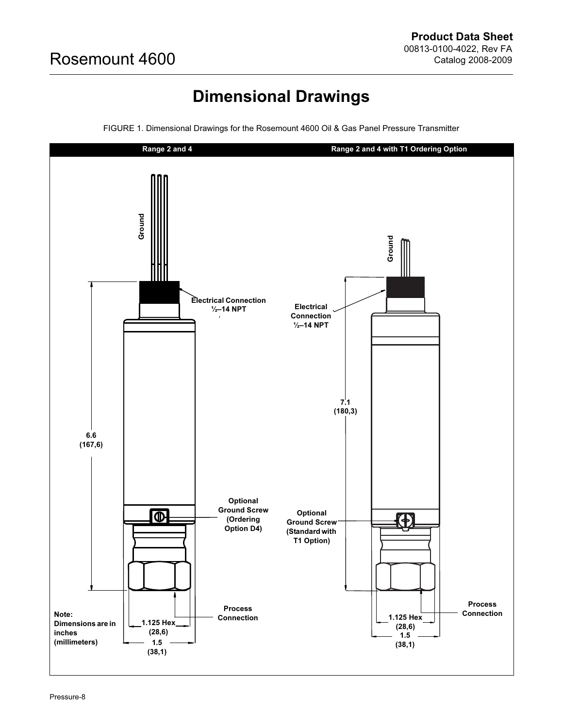# Dimensional Drawings

<span id="page-7-0"></span>

FIGURE 1. Dimensional Drawings for the Rosemount 4600 Oil & Gas Panel Pressure Transmitter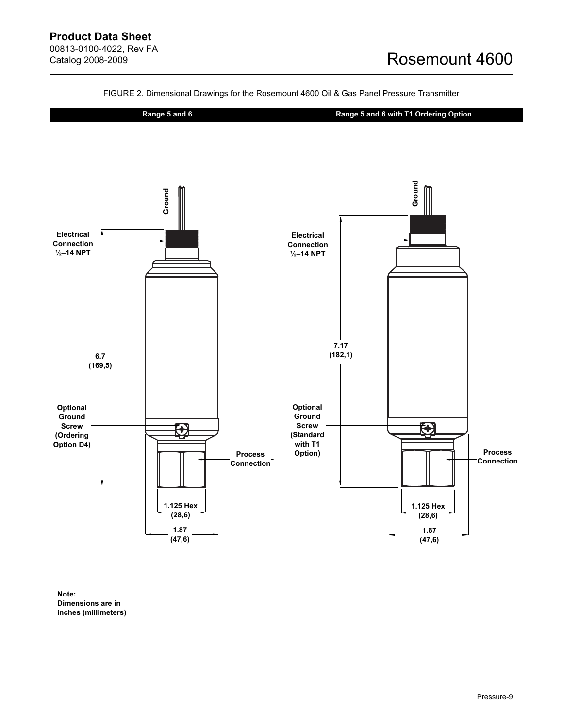

FIGURE 2. Dimensional Drawings for the Rosemount 4600 Oil & Gas Panel Pressure Transmitter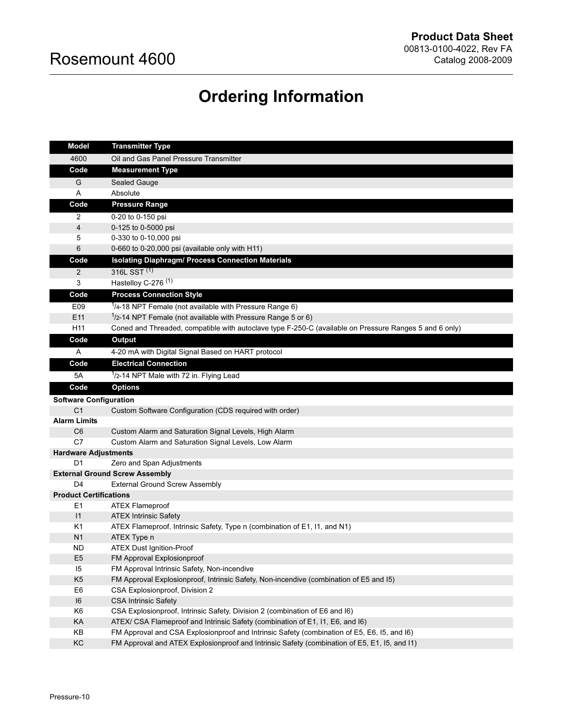# Ordering Information

<span id="page-9-0"></span>

| <b>Model</b>                   | <b>Transmitter Type</b>                                                                                   |  |  |  |  |  |  |
|--------------------------------|-----------------------------------------------------------------------------------------------------------|--|--|--|--|--|--|
| 4600                           | Oil and Gas Panel Pressure Transmitter                                                                    |  |  |  |  |  |  |
| Code                           | <b>Measurement Type</b>                                                                                   |  |  |  |  |  |  |
| G                              | Sealed Gauge                                                                                              |  |  |  |  |  |  |
| Α                              | Absolute                                                                                                  |  |  |  |  |  |  |
| Code                           | <b>Pressure Range</b>                                                                                     |  |  |  |  |  |  |
| 2                              | 0-20 to 0-150 psi                                                                                         |  |  |  |  |  |  |
| 4                              | 0-125 to 0-5000 psi                                                                                       |  |  |  |  |  |  |
| 5                              | 0-330 to 0-10,000 psi                                                                                     |  |  |  |  |  |  |
| 6                              | 0-660 to 0-20,000 psi (available only with H11)                                                           |  |  |  |  |  |  |
| Code                           | <b>Isolating Diaphragm/ Process Connection Materials</b>                                                  |  |  |  |  |  |  |
| $\overline{2}$                 | 316L SST <sup>(1)</sup>                                                                                   |  |  |  |  |  |  |
| 3                              | Hastelloy C-276 <sup>(1)</sup>                                                                            |  |  |  |  |  |  |
| Code                           | <b>Process Connection Style</b>                                                                           |  |  |  |  |  |  |
| E09                            | $1/4$ -18 NPT Female (not available with Pressure Range 6)                                                |  |  |  |  |  |  |
| E11                            | $1/2$ -14 NPT Female (not available with Pressure Range 5 or 6)                                           |  |  |  |  |  |  |
| H <sub>11</sub>                | Coned and Threaded, compatible with autoclave type F-250-C (available on Pressure Ranges 5 and 6 only)    |  |  |  |  |  |  |
| Code                           | <b>Output</b>                                                                                             |  |  |  |  |  |  |
| Α                              | 4-20 mA with Digital Signal Based on HART protocol                                                        |  |  |  |  |  |  |
| Code                           | <b>Electrical Connection</b>                                                                              |  |  |  |  |  |  |
| 5A                             | $1/2$ -14 NPT Male with 72 in. Flying Lead                                                                |  |  |  |  |  |  |
| Code                           | <b>Options</b>                                                                                            |  |  |  |  |  |  |
| <b>Software Configuration</b>  |                                                                                                           |  |  |  |  |  |  |
| C <sub>1</sub>                 | Custom Software Configuration (CDS required with order)                                                   |  |  |  |  |  |  |
| <b>Alarm Limits</b>            |                                                                                                           |  |  |  |  |  |  |
| C <sub>6</sub>                 | Custom Alarm and Saturation Signal Levels, High Alarm                                                     |  |  |  |  |  |  |
| C7                             | Custom Alarm and Saturation Signal Levels, Low Alarm                                                      |  |  |  |  |  |  |
| <b>Hardware Adjustments</b>    |                                                                                                           |  |  |  |  |  |  |
| D1                             | Zero and Span Adjustments                                                                                 |  |  |  |  |  |  |
|                                | <b>External Ground Screw Assembly</b>                                                                     |  |  |  |  |  |  |
| D <sub>4</sub>                 | <b>External Ground Screw Assembly</b>                                                                     |  |  |  |  |  |  |
| <b>Product Certifications</b>  |                                                                                                           |  |  |  |  |  |  |
| E <sub>1</sub>                 | <b>ATEX Flameproof</b>                                                                                    |  |  |  |  |  |  |
| $\mathsf{I}$<br>K <sub>1</sub> | <b>ATEX Intrinsic Safety</b><br>ATEX Flameproof, Intrinsic Safety, Type n (combination of E1, 11, and N1) |  |  |  |  |  |  |
| N <sub>1</sub>                 | ATEX Type n                                                                                               |  |  |  |  |  |  |
| ND                             | <b>ATEX Dust Ignition-Proof</b>                                                                           |  |  |  |  |  |  |
| E <sub>5</sub>                 | FM Approval Explosionproof                                                                                |  |  |  |  |  |  |
| 15                             | FM Approval Intrinsic Safety, Non-incendive                                                               |  |  |  |  |  |  |
| K <sub>5</sub>                 | FM Approval Explosionproof, Intrinsic Safety, Non-incendive (combination of E5 and I5)                    |  |  |  |  |  |  |
| E <sub>6</sub>                 | CSA Explosionproof, Division 2                                                                            |  |  |  |  |  |  |
| 16                             | <b>CSA Intrinsic Safety</b>                                                                               |  |  |  |  |  |  |
| K <sub>6</sub>                 | CSA Explosionproof, Intrinsic Safety, Division 2 (combination of E6 and I6)                               |  |  |  |  |  |  |
| KA                             | ATEX/ CSA Flameproof and Intrinsic Safety (combination of E1, I1, E6, and I6)                             |  |  |  |  |  |  |
| KB                             | FM Approval and CSA Explosionproof and Intrinsic Safety (combination of E5, E6, I5, and I6)               |  |  |  |  |  |  |
| KC                             | FM Approval and ATEX Explosionproof and Intrinsic Safety (combination of E5, E1, 15, and I1)              |  |  |  |  |  |  |
|                                |                                                                                                           |  |  |  |  |  |  |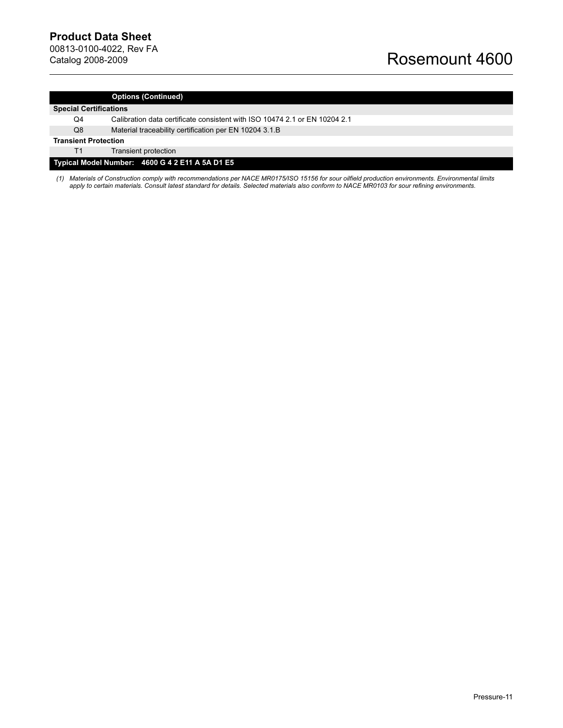#### Options (Continued)

#### Special Certifications

- Q4 Calibration data certificate consistent with ISO 10474 2.1 or EN 10204 2.1
- Q8 Material traceability certification per EN 10204 3.1.B

#### Transient Protection

T1 Transient protection

## Typical Model Number: 4600 G 4 2 E11 A 5A D1 E5

<span id="page-10-0"></span>(1) Materials of Construction comply with recommendations per NACE MR0175/ISO 15156 for sour oilfield production environments. Environmental limits apply to certain materials. Consult latest standard for details. Selected materials also conform to NACE MR0103 for sour refining environments.